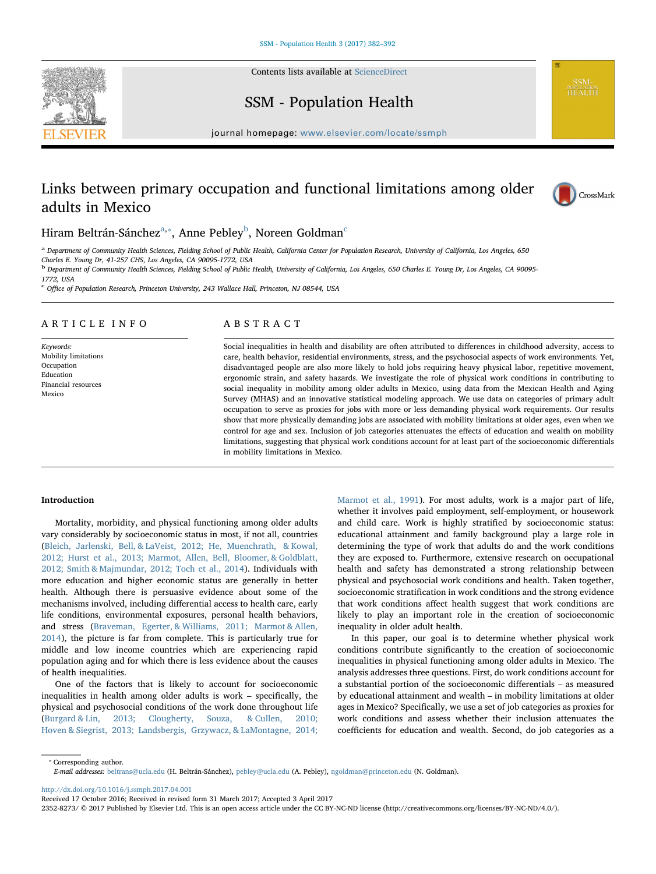Contents lists available at [ScienceDirect](http://www.sciencedirect.com/science/journal/23528273)





journal homepage: [www.elsevier.com/locate/ssmph](http://www.elsevier.com/locate/ssmph)

# Links between primary occupation and functional limitations among older adults in Mexico



# Hiram Beltrán-Sánchez<sup>[a,](#page-0-0)</sup>\*, Anne Pe[b](#page-0-2)ley<sup>b</sup>, Noreen Goldman<sup>[c](#page-0-3)</sup>

<span id="page-0-0"></span>a Department of Community Health Sciences, Fielding School of Public Health, California Center for Population Research, University of California, Los Angeles, 650 Charles E. Young Dr, 41-257 CHS, Los Angeles, CA 90095-1772, USA

<span id="page-0-2"></span><sup>b</sup> Department of Community Health Sciences, Fielding School of Public Health, University of California, Los Angeles, 650 Charles E. Young Dr, Los Angeles, CA 90095- 1772, USA

<span id="page-0-3"></span><sup>c</sup> <sup>O</sup>ffice of Population Research, Princeton University, 243 Wallace Hall, Princeton, NJ 08544, USA

# ARTICLE INFO

Keywords: Mobility limitations Occupation Education Financial resources Mexico

# ABSTRACT

Social inequalities in health and disability are often attributed to differences in childhood adversity, access to care, health behavior, residential environments, stress, and the psychosocial aspects of work environments. Yet, disadvantaged people are also more likely to hold jobs requiring heavy physical labor, repetitive movement, ergonomic strain, and safety hazards. We investigate the role of physical work conditions in contributing to social inequality in mobility among older adults in Mexico, using data from the Mexican Health and Aging Survey (MHAS) and an innovative statistical modeling approach. We use data on categories of primary adult occupation to serve as proxies for jobs with more or less demanding physical work requirements. Our results show that more physically demanding jobs are associated with mobility limitations at older ages, even when we control for age and sex. Inclusion of job categories attenuates the effects of education and wealth on mobility limitations, suggesting that physical work conditions account for at least part of the socioeconomic differentials in mobility limitations in Mexico.

# Introduction

Mortality, morbidity, and physical functioning among older adults vary considerably by socioeconomic status in most, if not all, countries ([Bleich, Jarlenski, Bell, & LaVeist, 2012; He, Muenchrath, & Kowal,](#page-9-0) [2012; Hurst et al., 2013; Marmot, Allen, Bell, Bloomer, & Goldblatt,](#page-9-0) [2012; Smith & Majmundar, 2012; Toch et al., 2014\)](#page-9-0). Individuals with more education and higher economic status are generally in better health. Although there is persuasive evidence about some of the mechanisms involved, including differential access to health care, early life conditions, environmental exposures, personal health behaviors, and stress [\(Braveman, Egerter, & Williams, 2011; Marmot & Allen,](#page-9-1) [2014\)](#page-9-1), the picture is far from complete. This is particularly true for middle and low income countries which are experiencing rapid population aging and for which there is less evidence about the causes of health inequalities.

One of the factors that is likely to account for socioeconomic inequalities in health among older adults is work – specifically, the physical and psychosocial conditions of the work done throughout life ([Burgard & Lin, 2013; Clougherty, Souza, & Cullen, 2010;](#page-9-2) [Hoven & Siegrist, 2013; Landsbergis, Grzywacz, & LaMontagne, 2014;](#page-9-2)

[Marmot et al., 1991\)](#page-9-2). For most adults, work is a major part of life, whether it involves paid employment, self-employment, or housework and child care. Work is highly stratified by socioeconomic status: educational attainment and family background play a large role in determining the type of work that adults do and the work conditions they are exposed to. Furthermore, extensive research on occupational health and safety has demonstrated a strong relationship between physical and psychosocial work conditions and health. Taken together, socioeconomic stratification in work conditions and the strong evidence that work conditions affect health suggest that work conditions are likely to play an important role in the creation of socioeconomic inequality in older adult health.

In this paper, our goal is to determine whether physical work conditions contribute significantly to the creation of socioeconomic inequalities in physical functioning among older adults in Mexico. The analysis addresses three questions. First, do work conditions account for a substantial portion of the socioeconomic differentials – as measured by educational attainment and wealth – in mobility limitations at older ages in Mexico? Specifically, we use a set of job categories as proxies for work conditions and assess whether their inclusion attenuates the coefficients for education and wealth. Second, do job categories as a

<span id="page-0-1"></span>⁎ Corresponding author. E-mail addresses: [beltrans@ucla.edu](mailto:beltrans@ucla.edu) (H. Beltrán-Sánchez), [pebley@ucla.edu](mailto:pebley@ucla.edu) (A. Pebley), [ngoldman@princeton.edu](mailto:ngoldman@princeton.edu) (N. Goldman).

<http://dx.doi.org/10.1016/j.ssmph.2017.04.001>

Received 17 October 2016; Received in revised form 31 March 2017; Accepted 3 April 2017

2352-8273/ © 2017 Published by Elsevier Ltd. This is an open access article under the CC BY-NC-ND license (http://creativecommons.org/licenses/BY-NC-ND/4.0/).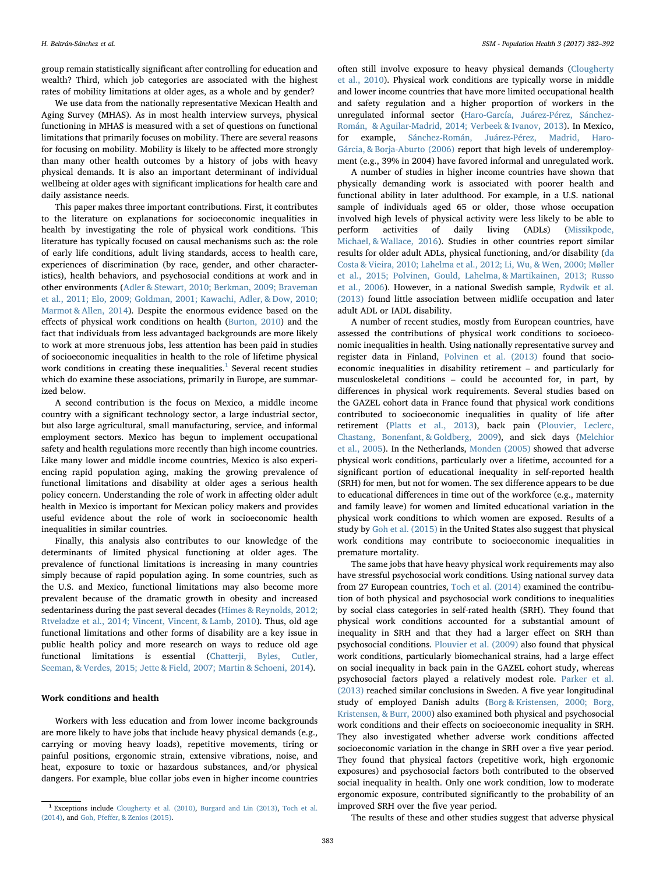group remain statistically significant after controlling for education and wealth? Third, which job categories are associated with the highest rates of mobility limitations at older ages, as a whole and by gender?

We use data from the nationally representative Mexican Health and Aging Survey (MHAS). As in most health interview surveys, physical functioning in MHAS is measured with a set of questions on functional limitations that primarily focuses on mobility. There are several reasons for focusing on mobility. Mobility is likely to be affected more strongly than many other health outcomes by a history of jobs with heavy physical demands. It is also an important determinant of individual wellbeing at older ages with significant implications for health care and daily assistance needs.

This paper makes three important contributions. First, it contributes to the literature on explanations for socioeconomic inequalities in health by investigating the role of physical work conditions. This literature has typically focused on causal mechanisms such as: the role of early life conditions, adult living standards, access to health care, experiences of discrimination (by race, gender, and other characteristics), health behaviors, and psychosocial conditions at work and in other environments [\(Adler & Stewart, 2010; Berkman, 2009; Braveman](#page-9-3) [et al., 2011; Elo, 2009; Goldman, 2001; Kawachi, Adler, & Dow, 2010;](#page-9-3) [Marmot & Allen, 2014](#page-9-3)). Despite the enormous evidence based on the effects of physical work conditions on health [\(Burton, 2010\)](#page-9-4) and the fact that individuals from less advantaged backgrounds are more likely to work at more strenuous jobs, less attention has been paid in studies of socioeconomic inequalities in health to the role of lifetime physical work conditions in creating these inequalities. $1$  Several recent studies which do examine these associations, primarily in Europe, are summarized below.

A second contribution is the focus on Mexico, a middle income country with a significant technology sector, a large industrial sector, but also large agricultural, small manufacturing, service, and informal employment sectors. Mexico has begun to implement occupational safety and health regulations more recently than high income countries. Like many lower and middle income countries, Mexico is also experiencing rapid population aging, making the growing prevalence of functional limitations and disability at older ages a serious health policy concern. Understanding the role of work in affecting older adult health in Mexico is important for Mexican policy makers and provides useful evidence about the role of work in socioeconomic health inequalities in similar countries.

Finally, this analysis also contributes to our knowledge of the determinants of limited physical functioning at older ages. The prevalence of functional limitations is increasing in many countries simply because of rapid population aging. In some countries, such as the U.S. and Mexico, functional limitations may also become more prevalent because of the dramatic growth in obesity and increased sedentariness during the past several decades [\(Himes & Reynolds, 2012;](#page-9-5) [Rtveladze et al., 2014; Vincent, Vincent, & Lamb, 2010\)](#page-9-5). Thus, old age functional limitations and other forms of disability are a key issue in public health policy and more research on ways to reduce old age functional limitations is essential ([Chatterji, Byles, Cutler,](#page-9-6) [Seeman, & Verdes, 2015; Jette & Field, 2007; Martin & Schoeni, 2014\)](#page-9-6).

# Work conditions and health

Workers with less education and from lower income backgrounds are more likely to have jobs that include heavy physical demands (e.g., carrying or moving heavy loads), repetitive movements, tiring or painful positions, ergonomic strain, extensive vibrations, noise, and heat, exposure to toxic or hazardous substances, and/or physical dangers. For example, blue collar jobs even in higher income countries

often still involve exposure to heavy physical demands ([Clougherty](#page-9-7) [et al., 2010\)](#page-9-7). Physical work conditions are typically worse in middle and lower income countries that have more limited occupational health and safety regulation and a higher proportion of workers in the unregulated informal sector ([Haro-García, Juárez-Pérez, Sánchez-](#page-9-8)[Román, & Aguilar-Madrid, 2014; Verbeek & Ivanov, 2013\)](#page-9-8). In Mexico, for example, [Sánchez-Román, Juárez-Pérez, Madrid, Haro-](#page-10-0)[Gárcia, & Borja-Aburto \(2006\)](#page-10-0) report that high levels of underemployment (e.g., 39% in 2004) have favored informal and unregulated work.

A number of studies in higher income countries have shown that physically demanding work is associated with poorer health and functional ability in later adulthood. For example, in a U.S. national sample of individuals aged 65 or older, those whose occupation involved high levels of physical activity were less likely to be able to perform activities of daily living (ADLs) ([Missikpode,](#page-9-9) [Michael, & Wallace, 2016\)](#page-9-9). Studies in other countries report similar results for older adult ADLs, physical functioning, and/or disability [\(da](#page-9-10) [Costa & Vieira, 2010; Lahelma et al., 2012; Li, Wu, & Wen, 2000; Møller](#page-9-10) [et al., 2015; Polvinen, Gould, Lahelma, & Martikainen, 2013; Russo](#page-9-10) [et al., 2006](#page-9-10)). However, in a national Swedish sample, [Rydwik et al.](#page-10-1) [\(2013\)](#page-10-1) found little association between midlife occupation and later adult ADL or IADL disability.

A number of recent studies, mostly from European countries, have assessed the contributions of physical work conditions to socioeconomic inequalities in health. Using nationally representative survey and register data in Finland, [Polvinen et al. \(2013\)](#page-9-11) found that socioeconomic inequalities in disability retirement – and particularly for musculoskeletal conditions – could be accounted for, in part, by differences in physical work requirements. Several studies based on the GAZEL cohort data in France found that physical work conditions contributed to socioeconomic inequalities in quality of life after retirement ([Platts et al., 2013](#page-9-12)), back pain ([Plouvier, Leclerc,](#page-9-13) [Chastang, Bonenfant, & Goldberg, 2009](#page-9-13)), and sick days [\(Melchior](#page-9-14) [et al., 2005](#page-9-14)). In the Netherlands, [Monden \(2005\)](#page-9-15) showed that adverse physical work conditions, particularly over a lifetime, accounted for a significant portion of educational inequality in self-reported health (SRH) for men, but not for women. The sex difference appears to be due to educational differences in time out of the workforce (e.g., maternity and family leave) for women and limited educational variation in the physical work conditions to which women are exposed. Results of a study by [Goh et al. \(2015\)](#page-9-16) in the United States also suggest that physical work conditions may contribute to socioeconomic inequalities in premature mortality.

The same jobs that have heavy physical work requirements may also have stressful psychosocial work conditions. Using national survey data from 27 European countries, [Toch et al. \(2014\)](#page-10-2) examined the contribution of both physical and psychosocial work conditions to inequalities by social class categories in self-rated health (SRH). They found that physical work conditions accounted for a substantial amount of inequality in SRH and that they had a larger effect on SRH than psychosocial conditions. [Plouvier et al. \(2009\)](#page-9-13) also found that physical work conditions, particularly biomechanical strains, had a large effect on social inequality in back pain in the GAZEL cohort study, whereas psychosocial factors played a relatively modest role. [Parker et al.](#page-9-17) [\(2013\)](#page-9-17) reached similar conclusions in Sweden. A five year longitudinal study of employed Danish adults ([Borg & Kristensen, 2000; Borg,](#page-9-18) [Kristensen, & Burr, 2000\)](#page-9-18) also examined both physical and psychosocial work conditions and their effects on socioeconomic inequality in SRH. They also investigated whether adverse work conditions affected socioeconomic variation in the change in SRH over a five year period. They found that physical factors (repetitive work, high ergonomic exposures) and psychosocial factors both contributed to the observed social inequality in health. Only one work condition, low to moderate ergonomic exposure, contributed significantly to the probability of an improved SRH over the five year period.

The results of these and other studies suggest that adverse physical

<span id="page-1-0"></span><sup>1</sup> Exceptions include [Clougherty et al. \(2010\)](#page-9-7), [Burgard and Lin \(2013\)](#page-9-2), [Toch et al.](#page-10-2) [\(2014\),](#page-10-2) and Goh, Pfeff[er, & Zenios \(2015\).](#page-9-16)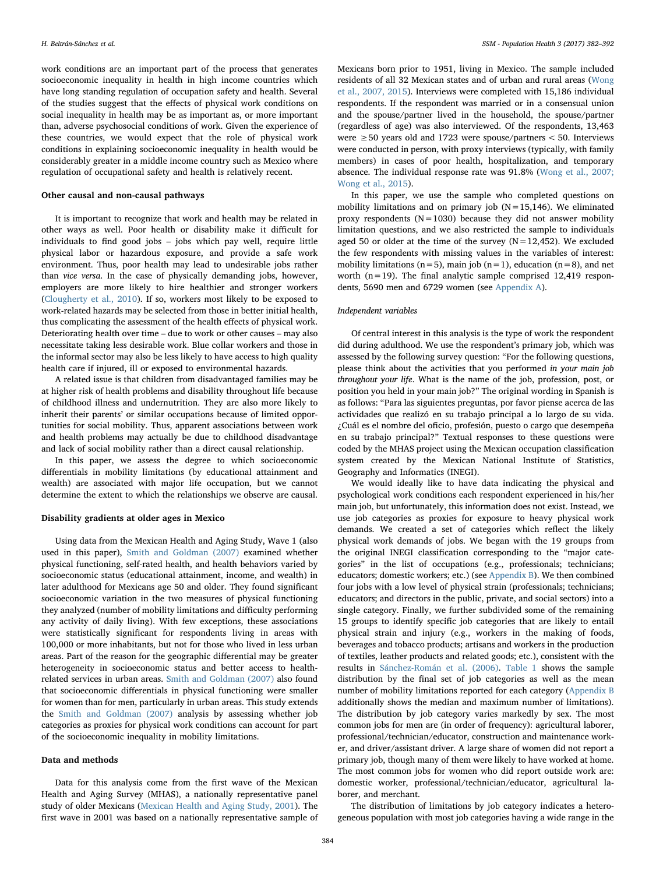work conditions are an important part of the process that generates socioeconomic inequality in health in high income countries which have long standing regulation of occupation safety and health. Several of the studies suggest that the effects of physical work conditions on social inequality in health may be as important as, or more important than, adverse psychosocial conditions of work. Given the experience of these countries, we would expect that the role of physical work conditions in explaining socioeconomic inequality in health would be considerably greater in a middle income country such as Mexico where regulation of occupational safety and health is relatively recent.

# Other causal and non-causal pathways

It is important to recognize that work and health may be related in other ways as well. Poor health or disability make it difficult for individuals to find good jobs – jobs which pay well, require little physical labor or hazardous exposure, and provide a safe work environment. Thus, poor health may lead to undesirable jobs rather than vice versa. In the case of physically demanding jobs, however, employers are more likely to hire healthier and stronger workers ([Clougherty et al., 2010](#page-9-7)). If so, workers most likely to be exposed to work-related hazards may be selected from those in better initial health, thus complicating the assessment of the health effects of physical work. Deteriorating health over time – due to work or other causes – may also necessitate taking less desirable work. Blue collar workers and those in the informal sector may also be less likely to have access to high quality health care if injured, ill or exposed to environmental hazards.

A related issue is that children from disadvantaged families may be at higher risk of health problems and disability throughout life because of childhood illness and undernutrition. They are also more likely to inherit their parents' or similar occupations because of limited opportunities for social mobility. Thus, apparent associations between work and health problems may actually be due to childhood disadvantage and lack of social mobility rather than a direct causal relationship.

In this paper, we assess the degree to which socioeconomic differentials in mobility limitations (by educational attainment and wealth) are associated with major life occupation, but we cannot determine the extent to which the relationships we observe are causal.

#### Disability gradients at older ages in Mexico

Using data from the Mexican Health and Aging Study, Wave 1 (also used in this paper), [Smith and Goldman \(2007\)](#page-10-3) examined whether physical functioning, self-rated health, and health behaviors varied by socioeconomic status (educational attainment, income, and wealth) in later adulthood for Mexicans age 50 and older. They found significant socioeconomic variation in the two measures of physical functioning they analyzed (number of mobility limitations and difficulty performing any activity of daily living). With few exceptions, these associations were statistically significant for respondents living in areas with 100,000 or more inhabitants, but not for those who lived in less urban areas. Part of the reason for the geographic differential may be greater heterogeneity in socioeconomic status and better access to healthrelated services in urban areas. [Smith and Goldman \(2007\)](#page-10-3) also found that socioeconomic differentials in physical functioning were smaller for women than for men, particularly in urban areas. This study extends the [Smith and Goldman \(2007\)](#page-10-3) analysis by assessing whether job categories as proxies for physical work conditions can account for part of the socioeconomic inequality in mobility limitations.

#### Data and methods

Data for this analysis come from the first wave of the Mexican Health and Aging Survey (MHAS), a nationally representative panel study of older Mexicans ([Mexican Health and Aging Study, 2001\)](#page-9-19). The first wave in 2001 was based on a nationally representative sample of Mexicans born prior to 1951, living in Mexico. The sample included residents of all 32 Mexican states and of urban and rural areas [\(Wong](#page-10-4) [et al., 2007, 2015\)](#page-10-4). Interviews were completed with 15,186 individual respondents. If the respondent was married or in a consensual union and the spouse/partner lived in the household, the spouse/partner (regardless of age) was also interviewed. Of the respondents, 13,463 were  $\geq$  50 years old and 1723 were spouse/partners < 50. Interviews were conducted in person, with proxy interviews (typically, with family members) in cases of poor health, hospitalization, and temporary absence. The individual response rate was 91.8% [\(Wong et al., 2007;](#page-10-4) [Wong et al., 2015](#page-10-4)).

In this paper, we use the sample who completed questions on mobility limitations and on primary job  $(N=15,146)$ . We eliminated proxy respondents ( $N=1030$ ) because they did not answer mobility limitation questions, and we also restricted the sample to individuals aged 50 or older at the time of the survey  $(N=12,452)$ . We excluded the few respondents with missing values in the variables of interest: mobility limitations ( $n=5$ ), main job ( $n=1$ ), education ( $n=8$ ), and net worth  $(n=19)$ . The final analytic sample comprised 12,419 respondents, 5690 men and 6729 women (see Appendix A).

#### Independent variables

Of central interest in this analysis is the type of work the respondent did during adulthood. We use the respondent's primary job, which was assessed by the following survey question: "For the following questions, please think about the activities that you performed in your main job throughout your life. What is the name of the job, profession, post, or position you held in your main job?" The original wording in Spanish is as follows: "Para las siguientes preguntas, por favor piense acerca de las actividades que realizó en su trabajo principal a lo largo de su vida. ¿Cuál es el nombre del oficio, profesión, puesto o cargo que desempeña en su trabajo principal?" Textual responses to these questions were coded by the MHAS project using the Mexican occupation classification system created by the Mexican National Institute of Statistics, Geography and Informatics (INEGI).

We would ideally like to have data indicating the physical and psychological work conditions each respondent experienced in his/her main job, but unfortunately, this information does not exist. Instead, we use job categories as proxies for exposure to heavy physical work demands. We created a set of categories which reflect the likely physical work demands of jobs. We began with the 19 groups from the original INEGI classification corresponding to the "major categories" in the list of occupations (e.g., professionals; technicians; educators; domestic workers; etc.) (see Appendix B). We then combined four jobs with a low level of physical strain (professionals; technicians; educators; and directors in the public, private, and social sectors) into a single category. Finally, we further subdivided some of the remaining 15 groups to identify specific job categories that are likely to entail physical strain and injury (e.g., workers in the making of foods, beverages and tobacco products; artisans and workers in the production of textiles, leather products and related goods; etc.), consistent with the results in [Sánchez-Román et al. \(2006\).](#page-10-0) [Table 1](#page-3-0) shows the sample distribution by the final set of job categories as well as the mean number of mobility limitations reported for each category (Appendix B additionally shows the median and maximum number of limitations). The distribution by job category varies markedly by sex. The most common jobs for men are (in order of frequency): agricultural laborer, professional/technician/educator, construction and maintenance worker, and driver/assistant driver. A large share of women did not report a primary job, though many of them were likely to have worked at home. The most common jobs for women who did report outside work are: domestic worker, professional/technician/educator, agricultural laborer, and merchant.

The distribution of limitations by job category indicates a heterogeneous population with most job categories having a wide range in the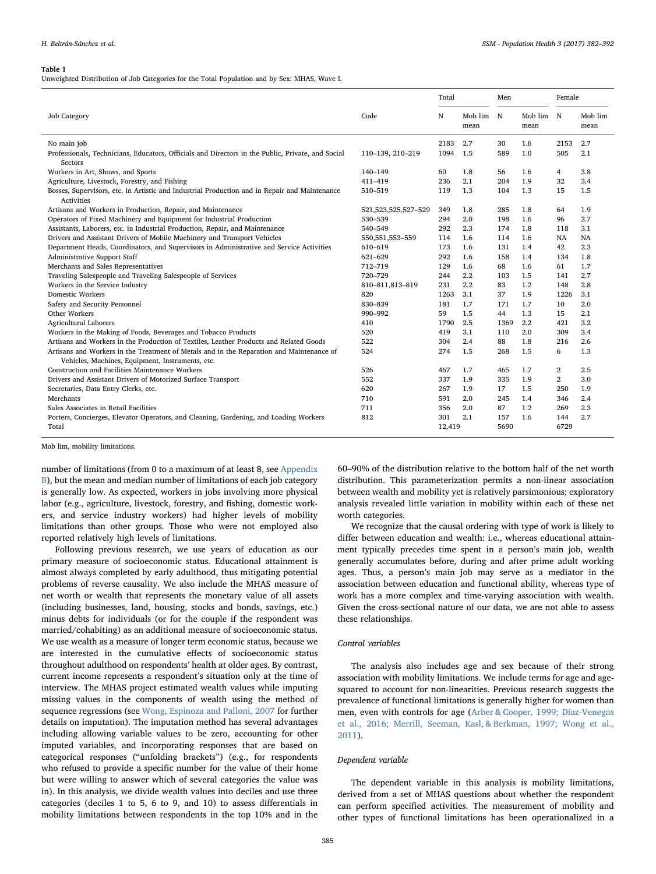#### <span id="page-3-0"></span>Table 1

Unweighted Distribution of Job Categories for the Total Population and by Sex: MHAS, Wave I.

|                                                                                                                                              |                     | Total  |                 | Men  |                   |                | Female          |  |
|----------------------------------------------------------------------------------------------------------------------------------------------|---------------------|--------|-----------------|------|-------------------|----------------|-----------------|--|
| <b>Job Category</b>                                                                                                                          | Code                | N      | Mob lim<br>mean | N    | Mob lim N<br>mean |                | Mob lim<br>mean |  |
| No main job                                                                                                                                  |                     | 2183   | 2.7             | 30   | 1.6               | 2153           | 2.7             |  |
| Professionals, Technicians, Educators, Officials and Directors in the Public, Private, and Social<br>Sectors                                 | 110-139, 210-219    | 1094   | 1.5             | 589  | 1.0               | 505            | 2.1             |  |
| Workers in Art, Shows, and Sports                                                                                                            | 140-149             | 60     | 1.8             | 56   | 1.6               | 4              | 3.8             |  |
| Agriculture, Livestock, Forestry, and Fishing                                                                                                | 411-419             | 236    | 2.1             | 204  | 1.9               | 32             | 3.4             |  |
| Bosses, Supervisors, etc. in Artistic and Industrial Production and in Repair and Maintenance<br>Activities                                  | 510-519             | 119    | 1.3             | 104  | 1.3               | 15             | 1.5             |  |
| Artisans and Workers in Production, Repair, and Maintenance                                                                                  | 521,523,525,527-529 | 349    | 1.8             | 285  | 1.8               | 64             | 1.9             |  |
| Operators of Fixed Machinery and Equipment for Industrial Production                                                                         | 530-539             | 294    | 2.0             | 198  | 1.6               | 96             | 2.7             |  |
| Assistants, Laborers, etc. in Industrial Production, Repair, and Maintenance                                                                 | 540-549             | 292    | 2.3             | 174  | 1.8               | 118            | 3.1             |  |
| Drivers and Assistant Drivers of Mobile Machinery and Transport Vehicles                                                                     | 550, 551, 553 - 559 | 114    | 1.6             | 114  | 1.6               | NA             | <b>NA</b>       |  |
| Department Heads, Coordinators, and Supervisors in Administrative and Service Activities                                                     | 610-619             | 173    | 1.6             | 131  | 1.4               | 42             | 2.3             |  |
| Administrative Support Staff                                                                                                                 | 621-629             | 292    | 1.6             | 158  | 1.4               | 134            | 1.8             |  |
| Merchants and Sales Representatives                                                                                                          | 712-719             | 129    | 1.6             | 68   | 1.6               | 61             | 1.7             |  |
| Traveling Salespeople and Traveling Salespeople of Services                                                                                  | 720-729             | 244    | 2.2             | 103  | 1.5               | 141            | 2.7             |  |
| Workers in the Service Industry                                                                                                              | 810-811,813-819     | 231    | 2.2             | 83   | 1.2               | 148            | 2.8             |  |
| Domestic Workers                                                                                                                             | 820                 | 1263   | 3.1             | 37   | 1.9               | 1226           | 3.1             |  |
| Safety and Security Personnel                                                                                                                | 830-839             | 181    | 1.7             | 171  | 1.7               | 10             | 2.0             |  |
| Other Workers                                                                                                                                | 990-992             | 59     | 1.5             | 44   | 1.3               | 15             | 2.1             |  |
| <b>Agricultural Laborers</b>                                                                                                                 | 410                 | 1790   | 2.5             | 1369 | 2.2               | 421            | 3.2             |  |
| Workers in the Making of Foods, Beverages and Tobacco Products                                                                               | 520                 | 419    | 3.1             | 110  | 2.0               | 309            | 3.4             |  |
| Artisans and Workers in the Production of Textiles, Leather Products and Related Goods                                                       | 522                 | 304    | 2.4             | 88   | 1.8               | 216            | 2.6             |  |
| Artisans and Workers in the Treatment of Metals and in the Reparation and Maintenance of<br>Vehicles, Machines, Equipment, Instruments, etc. | 524                 | 274    | 1.5             | 268  | 1.5               | 6              | 1.3             |  |
| Construction and Facilities Maintenance Workers                                                                                              | 526                 | 467    | 1.7             | 465  | 1.7               | 2              | 2.5             |  |
| Drivers and Assistant Drivers of Motorized Surface Transport                                                                                 | 552                 | 337    | 1.9             | 335  | 1.9               | $\overline{2}$ | 3.0             |  |
| Secretaries, Data Entry Clerks, etc.                                                                                                         | 620                 | 267    | 1.9             | 17   | 1.5               | 250            | 1.9             |  |
| Merchants                                                                                                                                    | 710                 | 591    | 2.0             | 245  | 1.4               | 346            | 2.4             |  |
| Sales Associates in Retail Facilities                                                                                                        | 711                 | 356    | 2.0             | 87   | 1.2               | 269            | 2.3             |  |
| Porters, Concierges, Elevator Operators, and Cleaning, Gardening, and Loading Workers                                                        | 812                 | 301    | 2.1             | 157  | 1.6               | 144            | 2.7             |  |
| Total                                                                                                                                        |                     | 12.419 |                 | 5690 |                   | 6729           |                 |  |

Mob lim, mobility limitations.

number of limitations (from 0 to a maximum of at least 8, see Appendix B), but the mean and median number of limitations of each job category is generally low. As expected, workers in jobs involving more physical labor (e.g., agriculture, livestock, forestry, and fishing, domestic workers, and service industry workers) had higher levels of mobility limitations than other groups. Those who were not employed also reported relatively high levels of limitations.

Following previous research, we use years of education as our primary measure of socioeconomic status. Educational attainment is almost always completed by early adulthood, thus mitigating potential problems of reverse causality. We also include the MHAS measure of net worth or wealth that represents the monetary value of all assets (including businesses, land, housing, stocks and bonds, savings, etc.) minus debts for individuals (or for the couple if the respondent was married/cohabiting) as an additional measure of socioeconomic status. We use wealth as a measure of longer term economic status, because we are interested in the cumulative effects of socioeconomic status throughout adulthood on respondents' health at older ages. By contrast, current income represents a respondent's situation only at the time of interview. The MHAS project estimated wealth values while imputing missing values in the components of wealth using the method of sequence regressions (see [Wong, Espinoza and Palloni, 2007](#page-10-4) for further details on imputation). The imputation method has several advantages including allowing variable values to be zero, accounting for other imputed variables, and incorporating responses that are based on categorical responses ("unfolding brackets") (e.g., for respondents who refused to provide a specific number for the value of their home but were willing to answer which of several categories the value was in). In this analysis, we divide wealth values into deciles and use three categories (deciles 1 to 5, 6 to 9, and 10) to assess differentials in mobility limitations between respondents in the top 10% and in the 60–90% of the distribution relative to the bottom half of the net worth distribution. This parameterization permits a non-linear association between wealth and mobility yet is relatively parsimonious; exploratory analysis revealed little variation in mobility within each of these net worth categories.

We recognize that the causal ordering with type of work is likely to differ between education and wealth: i.e., whereas educational attainment typically precedes time spent in a person's main job, wealth generally accumulates before, during and after prime adult working ages. Thus, a person's main job may serve as a mediator in the association between education and functional ability, whereas type of work has a more complex and time-varying association with wealth. Given the cross-sectional nature of our data, we are not able to assess these relationships.

# Control variables

The analysis also includes age and sex because of their strong association with mobility limitations. We include terms for age and agesquared to account for non-linearities. Previous research suggests the prevalence of functional limitations is generally higher for women than men, even with controls for age [\(Arber & Cooper, 1999; Díaz-Venegas](#page-9-20) [et al., 2016; Merrill, Seeman, Kasl, & Berkman, 1997; Wong et al.,](#page-9-20) [2011\)](#page-9-20).

#### Dependent variable

The dependent variable in this analysis is mobility limitations, derived from a set of MHAS questions about whether the respondent can perform specified activities. The measurement of mobility and other types of functional limitations has been operationalized in a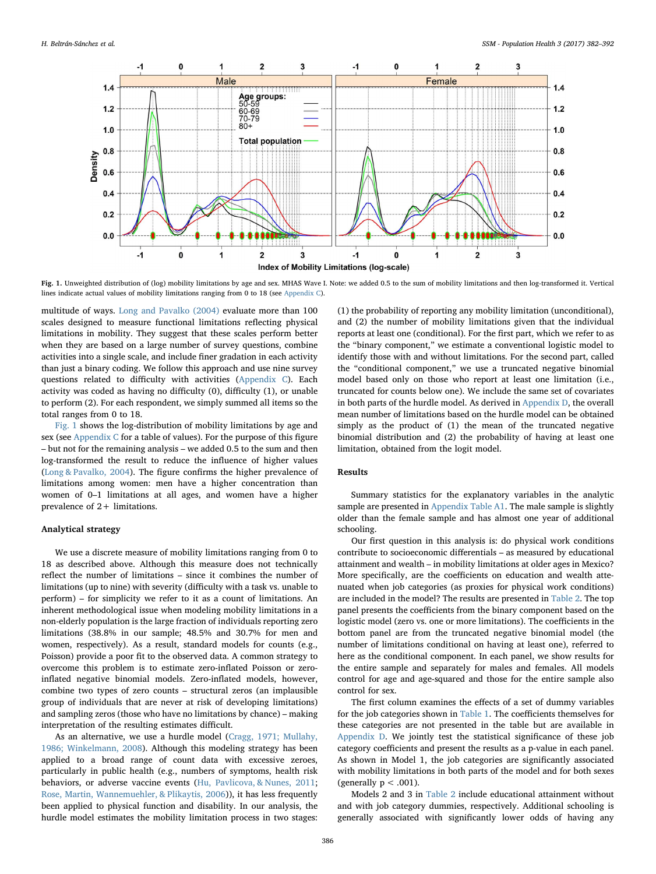<span id="page-4-0"></span>

Fig. 1. Unweighted distribution of (log) mobility limitations by age and sex. MHAS Wave I. Note: we added 0.5 to the sum of mobility limitations and then log-transformed it. Vertical lines indicate actual values of mobility limitations ranging from 0 to 18 (see [Appendix C](#page-9-25)).

multitude of ways. [Long and Pavalko \(2004\)](#page-9-21) evaluate more than 100 scales designed to measure functional limitations reflecting physical limitations in mobility. They suggest that these scales perform better when they are based on a large number of survey questions, combine activities into a single scale, and include finer gradation in each activity than just a binary coding. We follow this approach and use nine survey questions related to difficulty with activities (Appendix C). Each activity was coded as having no difficulty (0), difficulty (1), or unable to perform (2). For each respondent, we simply summed all items so the total ranges from 0 to 18.

[Fig. 1](#page-4-0) shows the log-distribution of mobility limitations by age and sex (see Appendix C for a table of values). For the purpose of this figure – but not for the remaining analysis – we added 0.5 to the sum and then log-transformed the result to reduce the influence of higher values ([Long & Pavalko, 2004\)](#page-9-21). The figure confirms the higher prevalence of limitations among women: men have a higher concentration than women of 0–1 limitations at all ages, and women have a higher prevalence of 2+ limitations.

# Analytical strategy

We use a discrete measure of mobility limitations ranging from 0 to 18 as described above. Although this measure does not technically reflect the number of limitations – since it combines the number of limitations (up to nine) with severity (difficulty with a task vs. unable to perform) – for simplicity we refer to it as a count of limitations. An inherent methodological issue when modeling mobility limitations in a non-elderly population is the large fraction of individuals reporting zero limitations (38.8% in our sample; 48.5% and 30.7% for men and women, respectively). As a result, standard models for counts (e.g., Poisson) provide a poor fit to the observed data. A common strategy to overcome this problem is to estimate zero-inflated Poisson or zeroinflated negative binomial models. Zero-inflated models, however, combine two types of zero counts – structural zeros (an implausible group of individuals that are never at risk of developing limitations) and sampling zeros (those who have no limitations by chance) – making interpretation of the resulting estimates difficult.

As an alternative, we use a hurdle model ([Cragg, 1971; Mullahy,](#page-9-22) [1986; Winkelmann, 2008](#page-9-22)). Although this modeling strategy has been applied to a broad range of count data with excessive zeroes, particularly in public health (e.g., numbers of symptoms, health risk behaviors, or adverse vaccine events [\(Hu, Pavlicova, & Nunes, 2011](#page-9-23); [Rose, Martin, Wannemuehler, & Plikaytis, 2006\)](#page-9-24)), it has less frequently been applied to physical function and disability. In our analysis, the hurdle model estimates the mobility limitation process in two stages:

(1) the probability of reporting any mobility limitation (unconditional), and (2) the number of mobility limitations given that the individual reports at least one (conditional). For the first part, which we refer to as the "binary component," we estimate a conventional logistic model to identify those with and without limitations. For the second part, called the "conditional component," we use a truncated negative binomial model based only on those who report at least one limitation (i.e., truncated for counts below one). We include the same set of covariates in both parts of the hurdle model. As derived in Appendix D, the overall mean number of limitations based on the hurdle model can be obtained simply as the product of (1) the mean of the truncated negative binomial distribution and (2) the probability of having at least one limitation, obtained from the logit model.

# Results

Summary statistics for the explanatory variables in the analytic sample are presented in Appendix Table A1. The male sample is slightly older than the female sample and has almost one year of additional schooling.

Our first question in this analysis is: do physical work conditions contribute to socioeconomic differentials – as measured by educational attainment and wealth – in mobility limitations at older ages in Mexico? More specifically, are the coefficients on education and wealth attenuated when job categories (as proxies for physical work conditions) are included in the model? The results are presented in [Table 2.](#page-5-0) The top panel presents the coefficients from the binary component based on the logistic model (zero vs. one or more limitations). The coefficients in the bottom panel are from the truncated negative binomial model (the number of limitations conditional on having at least one), referred to here as the conditional component. In each panel, we show results for the entire sample and separately for males and females. All models control for age and age-squared and those for the entire sample also control for sex.

The first column examines the effects of a set of dummy variables for the job categories shown in [Table 1](#page-3-0). The coefficients themselves for these categories are not presented in the table but are available in Appendix D. We jointly test the statistical significance of these job category coefficients and present the results as a p-value in each panel. As shown in Model 1, the job categories are significantly associated with mobility limitations in both parts of the model and for both sexes (generally  $p < .001$ ).

Models 2 and 3 in [Table 2](#page-5-0) include educational attainment without and with job category dummies, respectively. Additional schooling is generally associated with significantly lower odds of having any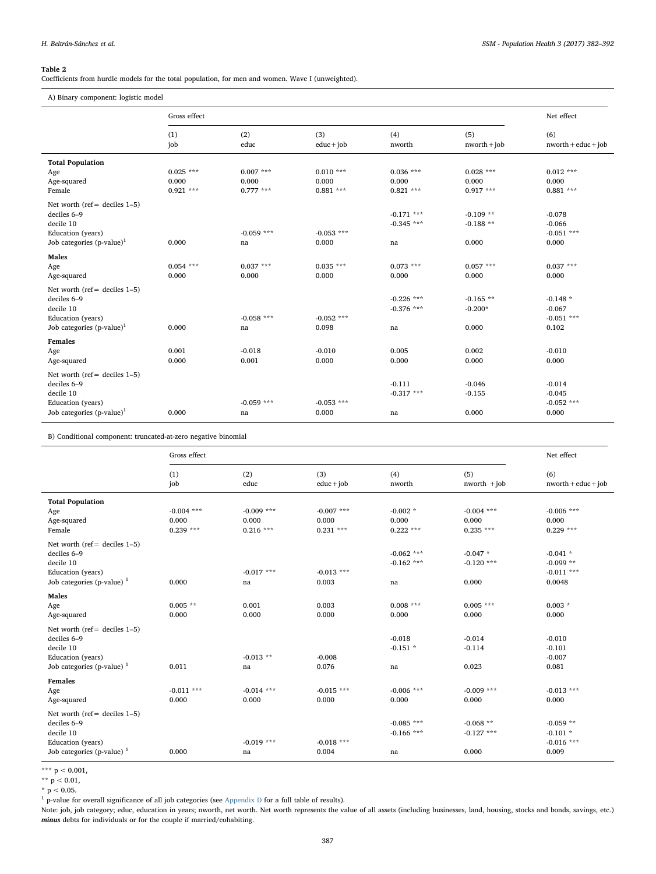# <span id="page-5-0"></span>Table 2

Coefficients from hurdle models for the total population, for men and women. Wave I (unweighted).

A) Binary component: logistic model

|                                       | Gross effect |              |                     |               |                       | Net effect                   |  |
|---------------------------------------|--------------|--------------|---------------------|---------------|-----------------------|------------------------------|--|
|                                       | (1)<br>job   | (2)<br>educ  | (3)<br>$educ + job$ | (4)<br>nworth | (5)<br>$nworth + job$ | (6)<br>$nworth + educ + job$ |  |
| <b>Total Population</b>               |              |              |                     |               |                       |                              |  |
| Age                                   | $0.025$ ***  | $0.007$ ***  | $0.010***$          | $0.036$ ***   | $0.028***$            | $0.012$ ***                  |  |
| Age-squared                           | 0.000        | 0.000        | 0.000               | 0.000         | 0.000                 | 0.000                        |  |
| Female                                | $0.921***$   | $0.777***$   | $0.881***$          | $0.821***$    | $0.917***$            | $0.881***$                   |  |
| Net worth ( $ref = deciles 1-5$ )     |              |              |                     |               |                       |                              |  |
| deciles 6-9                           |              |              |                     | $-0.171$ ***  | $-0.109**$            | $-0.078$                     |  |
| decile 10                             |              |              |                     | $-0.345$ ***  | $-0.188**$            | $-0.066$                     |  |
| Education (years)                     |              | $-0.059$ *** | $-0.053$ ***        |               |                       | $-0.051$ ***                 |  |
| Job categories $(p-value)^1$          | 0.000        | na           | 0.000               | na            | 0.000                 | 0.000                        |  |
| Males                                 |              |              |                     |               |                       |                              |  |
| Age                                   | $0.054$ ***  | $0.037***$   | $0.035***$          | $0.073$ ***   | $0.057***$            | $0.037***$                   |  |
| Age-squared                           | 0.000        | 0.000        | 0.000               | 0.000         | 0.000                 | 0.000                        |  |
| Net worth ( $ref = deciles 1-5$ )     |              |              |                     |               |                       |                              |  |
| deciles 6-9                           |              |              |                     | $-0.226$ ***  | $-0.165**$            | $-0.148*$                    |  |
| decile 10                             |              |              |                     | $-0.376$ ***  | $-0.200*$             | $-0.067$                     |  |
| Education (years)                     |              | $-0.058$ *** | $-0.052$ ***        |               |                       | $-0.051$ ***                 |  |
| Job categories $(p-value)^1$          | 0.000        | na           | 0.098               | na            | 0.000                 | 0.102                        |  |
| Females                               |              |              |                     |               |                       |                              |  |
| Age                                   | 0.001        | $-0.018$     | $-0.010$            | 0.005         | 0.002                 | $-0.010$                     |  |
| Age-squared                           | 0.000        | 0.001        | 0.000               | 0.000         | 0.000                 | 0.000                        |  |
| Net worth ( $ref = deciles 1-5$ )     |              |              |                     |               |                       |                              |  |
| deciles 6-9                           |              |              |                     | $-0.111$      | $-0.046$              | $-0.014$                     |  |
| decile 10                             |              |              |                     | $-0.317$ ***  | $-0.155$              | $-0.045$                     |  |
| Education (years)                     |              | $-0.059$ *** | $-0.053$ ***        |               |                       | $-0.052$ ***                 |  |
| Job categories (p-value) <sup>1</sup> | 0.000        | na           | 0.000               | na            | 0.000                 | 0.000                        |  |

B) Conditional component: truncated-at-zero negative binomial

|                                                                                                                    | Gross effect                        |                                      |                                     |                                    |                                      | Net effect                                         |
|--------------------------------------------------------------------------------------------------------------------|-------------------------------------|--------------------------------------|-------------------------------------|------------------------------------|--------------------------------------|----------------------------------------------------|
|                                                                                                                    | (1)<br>job                          | (2)<br>educ                          | (3)<br>$educ + job$                 | (4)<br>nworth                      | (5)<br>$nworth + job$                | (6)<br>$nworth + educ + job$                       |
| <b>Total Population</b><br>Age<br>Age-squared<br>Female                                                            | $-0.004$ ***<br>0.000<br>$0.239***$ | $-0.009$ ***<br>0.000<br>$0.216$ *** | $-0.007$ ***<br>0.000<br>$0.231***$ | $-0.002*$<br>0.000<br>$0.222***$   | $-0.004$ ***<br>0.000<br>$0.235***$  | $-0.006$ ***<br>0.000<br>$0.229***$                |
| Net worth ( $ref = deciles 1-5$ )<br>deciles 6-9<br>decile 10<br>Education (years)<br>Job categories (p-value) $1$ | 0.000                               | $-0.017$ ***<br>na                   | $-0.013$ ***<br>0.003               | $-0.062$ ***<br>$-0.162$ ***<br>na | $-0.047*$<br>$-0.120$ ***<br>0.000   | $-0.041$ *<br>$-0.099**$<br>$-0.011$ ***<br>0.0048 |
| Males<br>Age<br>Age-squared                                                                                        | $0.005**$<br>0.000                  | 0.001<br>0.000                       | 0.003<br>0.000                      | $0.008***$<br>0.000                | $0.005$ ***<br>0.000                 | $0.003 *$<br>0.000                                 |
| Net worth (ref = deciles $1-5$ )<br>deciles 6-9<br>decile 10<br>Education (years)<br>Job categories (p-value) $1$  | 0.011                               | $-0.013$ **<br>na                    | $-0.008$<br>0.076                   | $-0.018$<br>$-0.151$ *<br>na       | $-0.014$<br>$-0.114$<br>0.023        | $-0.010$<br>$-0.101$<br>$-0.007$<br>0.081          |
| Females<br>Age<br>Age-squared                                                                                      | $-0.011$ ***<br>0.000               | $-0.014$ ***<br>0.000                | $-0.015$ ***<br>0.000               | $-0.006$ ***<br>0.000              | $-0.009$ ***<br>0.000                | $-0.013$ ***<br>0.000                              |
| Net worth (ref = deciles $1-5$ )<br>deciles 6-9<br>decile 10<br>Education (years)<br>Job categories (p-value) $1$  | 0.000                               | $-0.019$ ***<br>na                   | $-0.018$ ***<br>0.004               | $-0.085$ ***<br>$-0.166$ ***<br>na | $-0.068$ **<br>$-0.127$ ***<br>0.000 | $-0.059**$<br>$-0.101*$<br>$-0.016$ ***<br>0.009   |

\*\*\*  $p < 0.001$ ,

\*\*  $p^2$  < 0.01,

 $*$  p < 0.05.

l.

<sup>1</sup> p-value for overall significance of all job categories (see Appendix D for a full table of results).

Note: job, job category; educ, education in years; nworth, net worth. Net worth represents the value of all assets (including businesses, land, housing, stocks and bonds, savings, etc.) minus debts for individuals or for the couple if married/cohabiting.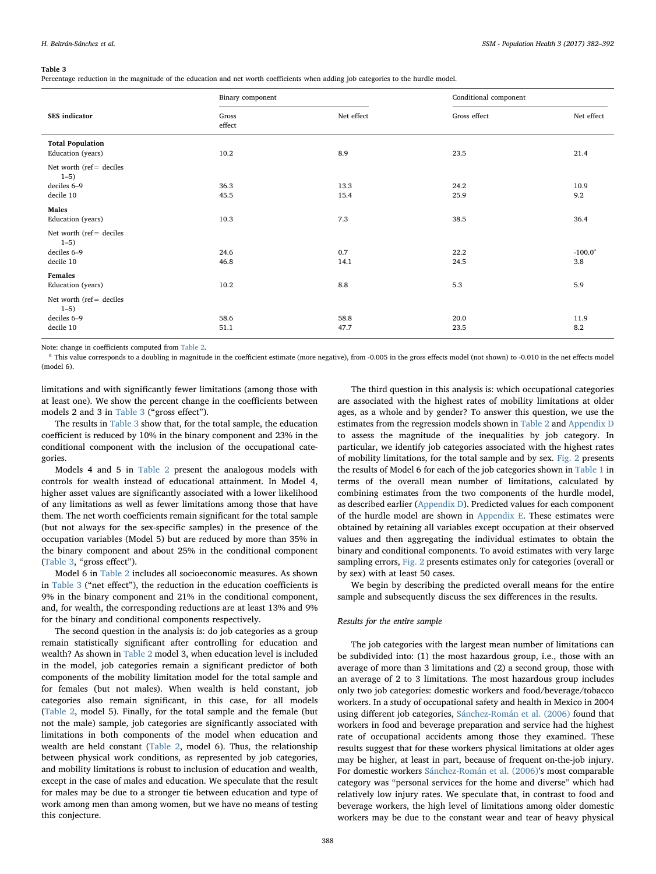#### <span id="page-6-0"></span>Table 3

Percentage reduction in the magnitude of the education and net worth coefficients when adding job categories to the hurdle model.

|                                                                    | Binary component |              | Conditional component |                   |  |  |
|--------------------------------------------------------------------|------------------|--------------|-----------------------|-------------------|--|--|
| SES indicator                                                      | Gross<br>effect  | Net effect   | Gross effect          | Net effect        |  |  |
| <b>Total Population</b><br>Education (years)                       | 10.2             | 8.9          | 23.5                  | 21.4              |  |  |
| Net worth (ref= deciles<br>$1 - 5$<br>deciles 6-9<br>decile 10     | 36.3<br>45.5     | 13.3<br>15.4 | 24.2<br>25.9          | 10.9<br>9.2       |  |  |
| Males<br>Education (years)                                         | 10.3             | 7.3          | 38.5                  | 36.4              |  |  |
| Net worth ( $ref =$ deciles<br>$1 - 5$<br>deciles 6-9<br>decile 10 | 24.6<br>46.8     | 0.7<br>14.1  | 22.2<br>24.5          | $-100.0^a$<br>3.8 |  |  |
| Females<br>Education (years)                                       | 10.2             | 8.8          | 5.3                   | 5.9               |  |  |
| Net worth (ref= deciles<br>$1 - 5$<br>deciles 6-9<br>decile 10     | 58.6<br>51.1     | 58.8<br>47.7 | 20.0<br>23.5          | 11.9<br>8.2       |  |  |

Note: change in coefficients computed from [Table 2.](#page-5-0)

<span id="page-6-1"></span><sup>a</sup> This value corresponds to a doubling in magnitude in the coefficient estimate (more negative), from -0.005 in the gross effects model (not shown) to -0.010 in the net effects model (model 6).

limitations and with significantly fewer limitations (among those with at least one). We show the percent change in the coefficients between models 2 and 3 in [Table 3](#page-6-0) ("gross effect").

The results in [Table 3](#page-6-0) show that, for the total sample, the education coefficient is reduced by 10% in the binary component and 23% in the conditional component with the inclusion of the occupational categories.

Models 4 and 5 in [Table 2](#page-5-0) present the analogous models with controls for wealth instead of educational attainment. In Model 4, higher asset values are significantly associated with a lower likelihood of any limitations as well as fewer limitations among those that have them. The net worth coefficients remain significant for the total sample (but not always for the sex-specific samples) in the presence of the occupation variables (Model 5) but are reduced by more than 35% in the binary component and about 25% in the conditional component ([Table 3](#page-6-0), "gross effect").

Model 6 in [Table 2](#page-5-0) includes all socioeconomic measures. As shown in [Table 3](#page-6-0) ("net effect"), the reduction in the education coefficients is 9% in the binary component and 21% in the conditional component, and, for wealth, the corresponding reductions are at least 13% and 9% for the binary and conditional components respectively.

The second question in the analysis is: do job categories as a group remain statistically significant after controlling for education and wealth? As shown in [Table 2](#page-5-0) model 3, when education level is included in the model, job categories remain a significant predictor of both components of the mobility limitation model for the total sample and for females (but not males). When wealth is held constant, job categories also remain significant, in this case, for all models ([Table 2,](#page-5-0) model 5). Finally, for the total sample and the female (but not the male) sample, job categories are significantly associated with limitations in both components of the model when education and wealth are held constant ([Table 2,](#page-5-0) model 6). Thus, the relationship between physical work conditions, as represented by job categories, and mobility limitations is robust to inclusion of education and wealth, except in the case of males and education. We speculate that the result for males may be due to a stronger tie between education and type of work among men than among women, but we have no means of testing this conjecture.

The third question in this analysis is: which occupational categories are associated with the highest rates of mobility limitations at older ages, as a whole and by gender? To answer this question, we use the estimates from the regression models shown in [Table 2](#page-5-0) and Appendix D to assess the magnitude of the inequalities by job category. In particular, we identify job categories associated with the highest rates of mobility limitations, for the total sample and by sex. [Fig. 2](#page-7-0) presents the results of Model 6 for each of the job categories shown in [Table 1](#page-3-0) in terms of the overall mean number of limitations, calculated by combining estimates from the two components of the hurdle model, as described earlier (Appendix D). Predicted values for each component of the hurdle model are shown in Appendix E. These estimates were obtained by retaining all variables except occupation at their observed values and then aggregating the individual estimates to obtain the binary and conditional components. To avoid estimates with very large sampling errors, [Fig. 2](#page-7-0) presents estimates only for categories (overall or by sex) with at least 50 cases.

We begin by describing the predicted overall means for the entire sample and subsequently discuss the sex differences in the results.

#### Results for the entire sample

The job categories with the largest mean number of limitations can be subdivided into: (1) the most hazardous group, i.e., those with an average of more than 3 limitations and (2) a second group, those with an average of 2 to 3 limitations. The most hazardous group includes only two job categories: domestic workers and food/beverage/tobacco workers. In a study of occupational safety and health in Mexico in 2004 using different job categories, [Sánchez-Román et al. \(2006\)](#page-10-0) found that workers in food and beverage preparation and service had the highest rate of occupational accidents among those they examined. These results suggest that for these workers physical limitations at older ages may be higher, at least in part, because of frequent on-the-job injury. For domestic workers [Sánchez-Román et al. \(2006\)](#page-10-0)'s most comparable category was "personal services for the home and diverse" which had relatively low injury rates. We speculate that, in contrast to food and beverage workers, the high level of limitations among older domestic workers may be due to the constant wear and tear of heavy physical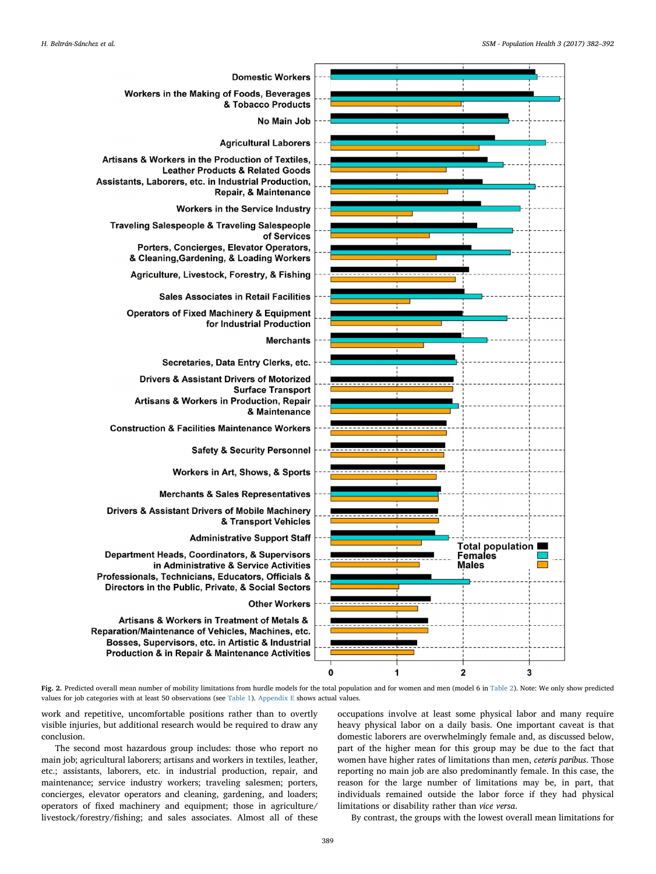<span id="page-7-0"></span>

Fig. 2. Predicted overall mean number of mobility limitations from hurdle models for the total population and for women and men (model 6 in [Table 2](#page-5-0)). Note: We only show predicted values for job categories with at least 50 observations (see [Table 1](#page-3-0)). Appendix E shows actual values.

work and repetitive, uncomfortable positions rather than to overtly visible injuries, but additional research would be required to draw any conclusion.

The second most hazardous group includes: those who report no main job; agricultural laborers; artisans and workers in textiles, leather, etc.; assistants, laborers, etc. in industrial production, repair, and maintenance; service industry workers; traveling salesmen; porters, concierges, elevator operators and cleaning, gardening, and loaders; operators of fixed machinery and equipment; those in agriculture/ livestock/forestry/fishing; and sales associates. Almost all of these occupations involve at least some physical labor and many require heavy physical labor on a daily basis. One important caveat is that domestic laborers are overwhelmingly female and, as discussed below, part of the higher mean for this group may be due to the fact that women have higher rates of limitations than men, ceteris paribus. Those reporting no main job are also predominantly female. In this case, the reason for the large number of limitations may be, in part, that individuals remained outside the labor force if they had physical limitations or disability rather than vice versa.

By contrast, the groups with the lowest overall mean limitations for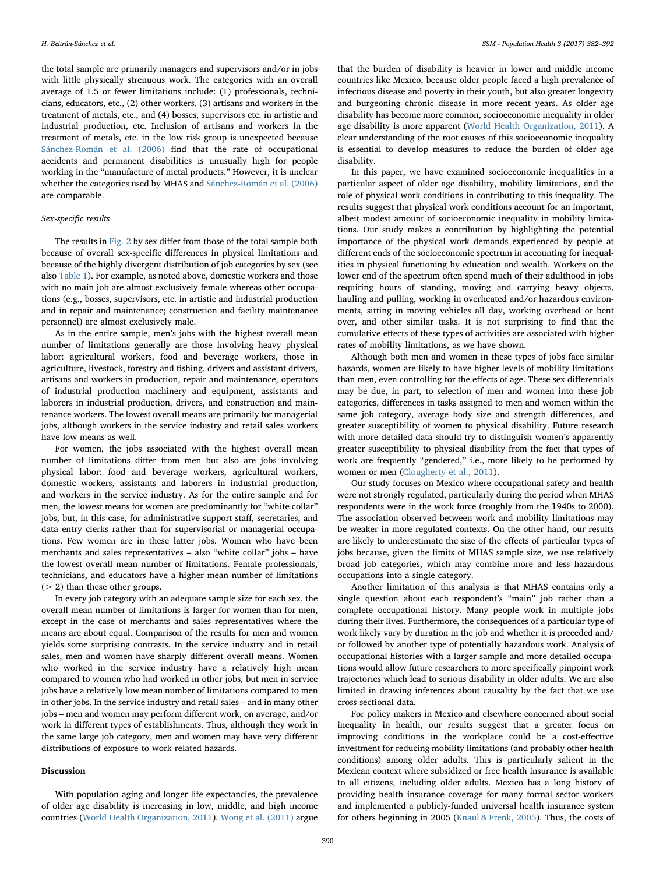the total sample are primarily managers and supervisors and/or in jobs with little physically strenuous work. The categories with an overall average of 1.5 or fewer limitations include: (1) professionals, technicians, educators, etc., (2) other workers, (3) artisans and workers in the treatment of metals, etc., and (4) bosses, supervisors etc. in artistic and industrial production, etc. Inclusion of artisans and workers in the treatment of metals, etc. in the low risk group is unexpected because [Sánchez-Román et al. \(2006\)](#page-10-0) find that the rate of occupational accidents and permanent disabilities is unusually high for people working in the "manufacture of metal products." However, it is unclear whether the categories used by MHAS and [Sánchez-Román et al. \(2006\)](#page-10-0) are comparable.

# Sex-specific results

The results in [Fig. 2](#page-7-0) by sex differ from those of the total sample both because of overall sex-specific differences in physical limitations and because of the highly divergent distribution of job categories by sex (see also [Table 1\)](#page-3-0). For example, as noted above, domestic workers and those with no main job are almost exclusively female whereas other occupations (e.g., bosses, supervisors, etc. in artistic and industrial production and in repair and maintenance; construction and facility maintenance personnel) are almost exclusively male.

As in the entire sample, men's jobs with the highest overall mean number of limitations generally are those involving heavy physical labor: agricultural workers, food and beverage workers, those in agriculture, livestock, forestry and fishing, drivers and assistant drivers, artisans and workers in production, repair and maintenance, operators of industrial production machinery and equipment, assistants and laborers in industrial production, drivers, and construction and maintenance workers. The lowest overall means are primarily for managerial jobs, although workers in the service industry and retail sales workers have low means as well.

For women, the jobs associated with the highest overall mean number of limitations differ from men but also are jobs involving physical labor: food and beverage workers, agricultural workers, domestic workers, assistants and laborers in industrial production, and workers in the service industry. As for the entire sample and for men, the lowest means for women are predominantly for "white collar" jobs, but, in this case, for administrative support staff, secretaries, and data entry clerks rather than for supervisorial or managerial occupations. Few women are in these latter jobs. Women who have been merchants and sales representatives – also "white collar" jobs – have the lowest overall mean number of limitations. Female professionals, technicians, and educators have a higher mean number of limitations (> 2) than these other groups.

In every job category with an adequate sample size for each sex, the overall mean number of limitations is larger for women than for men, except in the case of merchants and sales representatives where the means are about equal. Comparison of the results for men and women yields some surprising contrasts. In the service industry and in retail sales, men and women have sharply different overall means. Women who worked in the service industry have a relatively high mean compared to women who had worked in other jobs, but men in service jobs have a relatively low mean number of limitations compared to men in other jobs. In the service industry and retail sales – and in many other jobs – men and women may perform different work, on average, and/or work in different types of establishments. Thus, although they work in the same large job category, men and women may have very different distributions of exposure to work-related hazards.

### Discussion

With population aging and longer life expectancies, the prevalence of older age disability is increasing in low, middle, and high income countries [\(World Health Organization, 2011](#page-10-5)). [Wong et al. \(2011\)](#page-10-6) argue

that the burden of disability is heavier in lower and middle income countries like Mexico, because older people faced a high prevalence of infectious disease and poverty in their youth, but also greater longevity and burgeoning chronic disease in more recent years. As older age disability has become more common, socioeconomic inequality in older age disability is more apparent [\(World Health Organization, 2011](#page-10-5)). A clear understanding of the root causes of this socioeconomic inequality is essential to develop measures to reduce the burden of older age disability.

In this paper, we have examined socioeconomic inequalities in a particular aspect of older age disability, mobility limitations, and the role of physical work conditions in contributing to this inequality. The results suggest that physical work conditions account for an important, albeit modest amount of socioeconomic inequality in mobility limitations. Our study makes a contribution by highlighting the potential importance of the physical work demands experienced by people at different ends of the socioeconomic spectrum in accounting for inequalities in physical functioning by education and wealth. Workers on the lower end of the spectrum often spend much of their adulthood in jobs requiring hours of standing, moving and carrying heavy objects, hauling and pulling, working in overheated and/or hazardous environments, sitting in moving vehicles all day, working overhead or bent over, and other similar tasks. It is not surprising to find that the cumulative effects of these types of activities are associated with higher rates of mobility limitations, as we have shown.

Although both men and women in these types of jobs face similar hazards, women are likely to have higher levels of mobility limitations than men, even controlling for the effects of age. These sex differentials may be due, in part, to selection of men and women into these job categories, differences in tasks assigned to men and women within the same job category, average body size and strength differences, and greater susceptibility of women to physical disability. Future research with more detailed data should try to distinguish women's apparently greater susceptibility to physical disability from the fact that types of work are frequently "gendered," i.e., more likely to be performed by women or men ([Clougherty et al., 2011](#page-9-26)).

Our study focuses on Mexico where occupational safety and health were not strongly regulated, particularly during the period when MHAS respondents were in the work force (roughly from the 1940s to 2000). The association observed between work and mobility limitations may be weaker in more regulated contexts. On the other hand, our results are likely to underestimate the size of the effects of particular types of jobs because, given the limits of MHAS sample size, we use relatively broad job categories, which may combine more and less hazardous occupations into a single category.

Another limitation of this analysis is that MHAS contains only a single question about each respondent's "main" job rather than a complete occupational history. Many people work in multiple jobs during their lives. Furthermore, the consequences of a particular type of work likely vary by duration in the job and whether it is preceded and/ or followed by another type of potentially hazardous work. Analysis of occupational histories with a larger sample and more detailed occupations would allow future researchers to more specifically pinpoint work trajectories which lead to serious disability in older adults. We are also limited in drawing inferences about causality by the fact that we use cross-sectional data.

For policy makers in Mexico and elsewhere concerned about social inequality in health, our results suggest that a greater focus on improving conditions in the workplace could be a cost-effective investment for reducing mobility limitations (and probably other health conditions) among older adults. This is particularly salient in the Mexican context where subsidized or free health insurance is available to all citizens, including older adults. Mexico has a long history of providing health insurance coverage for many formal sector workers and implemented a publicly-funded universal health insurance system for others beginning in 2005 ([Knaul & Frenk, 2005](#page-9-27)). Thus, the costs of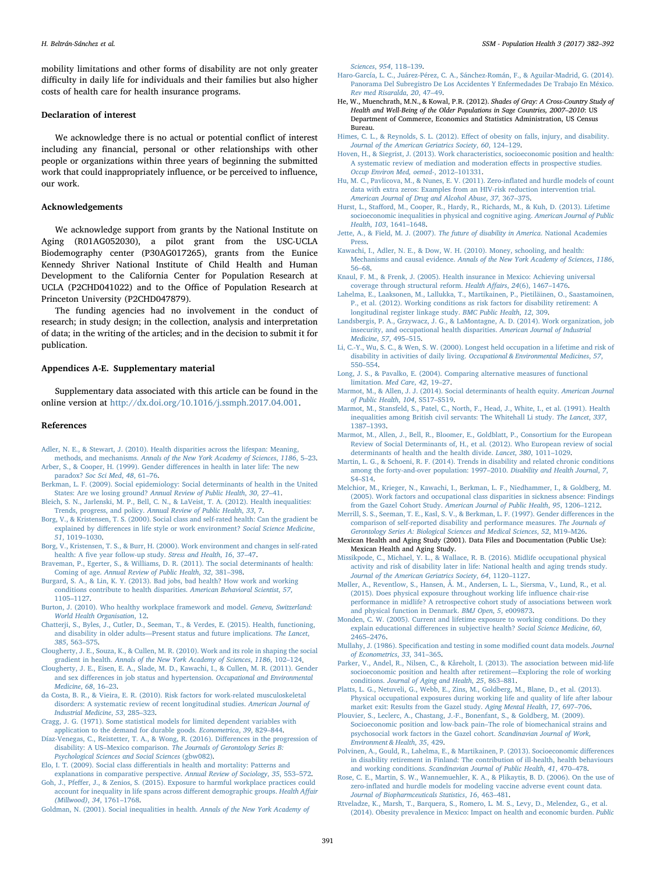mobility limitations and other forms of disability are not only greater difficulty in daily life for individuals and their families but also higher costs of health care for health insurance programs.

#### Declaration of interest

We acknowledge there is no actual or potential conflict of interest including any financial, personal or other relationships with other people or organizations within three years of beginning the submitted work that could inappropriately influence, or be perceived to influence, our work.

# Acknowledgements

We acknowledge support from grants by the National Institute on Aging (R01AG052030), a pilot grant from the USC-UCLA Biodemography center (P30AG017265), grants from the Eunice Kennedy Shriver National Institute of Child Health and Human Development to the California Center for Population Research at UCLA (P2CHD041022) and to the Office of Population Research at Princeton University (P2CHD047879).

The funding agencies had no involvement in the conduct of research; in study design; in the collection, analysis and interpretation of data; in the writing of the articles; and in the decision to submit it for publication.

#### <span id="page-9-25"></span>Appendices A-E. Supplementary material

Supplementary data associated with this article can be found in the online version at <http://dx.doi.org/10.1016/j.ssmph.2017.04.001>.

#### References

- <span id="page-9-3"></span>[Adler, N. E., & Stewart, J. \(2010\). Health disparities across the lifespan: Meaning,](http://refhub.elsevier.com/S2352-8273(16)30115-X/sbref1) methods, and mechanisms. [Annals of the New York Academy of Sciences](http://refhub.elsevier.com/S2352-8273(16)30115-X/sbref1), 1186, 5–23. [Arber, S., & Cooper, H. \(1999\). Gender di](http://refhub.elsevier.com/S2352-8273(16)30115-X/sbref2)fferences in health in later life: The new
- <span id="page-9-20"></span>paradox? [Soc Sci Med](http://refhub.elsevier.com/S2352-8273(16)30115-X/sbref2), 48, 61–76.
- [Berkman, L. F. \(2009\). Social epidemiology: Social determinants of health in the United](http://refhub.elsevier.com/S2352-8273(16)30115-X/sbref3) States: Are we losing ground? [Annual Review of Public Health](http://refhub.elsevier.com/S2352-8273(16)30115-X/sbref3), 30, 27–41.
- <span id="page-9-0"></span>[Bleich, S. N., Jarlenski, M. P., Bell, C. N., & LaVeist, T. A. \(2012\). Health inequalities:](http://refhub.elsevier.com/S2352-8273(16)30115-X/sbref4) Trends, progress, and policy. [Annual Review of Public Health](http://refhub.elsevier.com/S2352-8273(16)30115-X/sbref4), 33, 7.
- <span id="page-9-18"></span>[Borg, V., & Kristensen, T. S. \(2000\). Social class and self-rated health: Can the gradient be](http://refhub.elsevier.com/S2352-8273(16)30115-X/sbref5) explained by diff[erences in life style or work environment?](http://refhub.elsevier.com/S2352-8273(16)30115-X/sbref5) Social Science Medicine, 51[, 1019](http://refhub.elsevier.com/S2352-8273(16)30115-X/sbref5)–1030.
- [Borg, V., Kristensen, T. S., & Burr, H. \(2000\). Work environment and changes in self-rated](http://refhub.elsevier.com/S2352-8273(16)30115-X/sbref6) health: A fi[ve year follow-up study.](http://refhub.elsevier.com/S2352-8273(16)30115-X/sbref6) Stress and Health, 16, 37–47.
- <span id="page-9-1"></span>[Braveman, P., Egerter, S., & Williams, D. R. \(2011\). The social determinants of health:](http://refhub.elsevier.com/S2352-8273(16)30115-X/sbref7) Coming of age. [Annual Review of Public Health](http://refhub.elsevier.com/S2352-8273(16)30115-X/sbref7), 32, 381–398.
- <span id="page-9-2"></span>[Burgard, S. A., & Lin, K. Y. \(2013\). Bad jobs, bad health? How work and working](http://refhub.elsevier.com/S2352-8273(16)30115-X/sbref8) [conditions contribute to health disparities.](http://refhub.elsevier.com/S2352-8273(16)30115-X/sbref8) American Behavioral Scientist, 57, [1105](http://refhub.elsevier.com/S2352-8273(16)30115-X/sbref8)–1127.
- <span id="page-9-4"></span>[Burton, J. \(2010\). Who healthy workplace framework and model.](http://refhub.elsevier.com/S2352-8273(16)30115-X/sbref9) Geneva, Switzerland: [World Health Organisation](http://refhub.elsevier.com/S2352-8273(16)30115-X/sbref9), 12.
- <span id="page-9-6"></span>[Chatterji, S., Byles, J., Cutler, D., Seeman, T., & Verdes, E. \(2015\). Health, functioning,](http://refhub.elsevier.com/S2352-8273(16)30115-X/sbref10) and disability in older adults—[Present status and future implications.](http://refhub.elsevier.com/S2352-8273(16)30115-X/sbref10) The Lancet, 385[, 563](http://refhub.elsevier.com/S2352-8273(16)30115-X/sbref10)–575.
- <span id="page-9-7"></span>[Clougherty, J. E., Souza, K., & Cullen, M. R. \(2010\). Work and its role in shaping the social](http://refhub.elsevier.com/S2352-8273(16)30115-X/sbref11) gradient in health. [Annals of the New York Academy of Sciences](http://refhub.elsevier.com/S2352-8273(16)30115-X/sbref11), 1186, 102–124.
- <span id="page-9-26"></span>Clougherty, [J. E., Eisen, E. A., Slade, M. D., Kawachi, I., & Cullen, M. R. \(2011\). Gender](http://refhub.elsevier.com/S2352-8273(16)30115-X/sbref12) and sex diff[erences in job status and hypertension.](http://refhub.elsevier.com/S2352-8273(16)30115-X/sbref12) Occupational and Environmental [Medicine](http://refhub.elsevier.com/S2352-8273(16)30115-X/sbref12), 68, 16–23.
- <span id="page-9-10"></span>[da Costa, B. R., & Vieira, E. R. \(2010\). Risk factors for work](http://refhub.elsevier.com/S2352-8273(16)30115-X/sbref13)‐related musculoskeletal [disorders: A systematic review of recent longitudinal studies.](http://refhub.elsevier.com/S2352-8273(16)30115-X/sbref13) American Journal of [Industrial Medicine](http://refhub.elsevier.com/S2352-8273(16)30115-X/sbref13), 53, 285–323.
- <span id="page-9-22"></span>[Cragg, J. G. \(1971\). Some statistical models for limited dependent variables with](http://refhub.elsevier.com/S2352-8273(16)30115-X/sbref14) [application to the demand for durable goods.](http://refhub.elsevier.com/S2352-8273(16)30115-X/sbref14) Econometrica, 39, 829–844.
- [Díaz-Venegas, C., Reistetter, T. A., & Wong, R. \(2016\). Di](http://refhub.elsevier.com/S2352-8273(16)30115-X/sbref15)fferences in the progression of disability: A US–Mexico comparison. [The Journals of Gerontology Series B:](http://refhub.elsevier.com/S2352-8273(16)30115-X/sbref15) [Psychological Sciences and Social Sciences](http://refhub.elsevier.com/S2352-8273(16)30115-X/sbref15) (gbw082).
- Elo, I. T. (2009). Social class diff[erentials in health and mortality: Patterns and](http://refhub.elsevier.com/S2352-8273(16)30115-X/sbref16) [explanations in comparative perspective.](http://refhub.elsevier.com/S2352-8273(16)30115-X/sbref16) Annual Review of Sociology, 35, 553–572.
- <span id="page-9-16"></span>Goh, J., Pfeff[er, J., & Zenios, S. \(2015\). Exposure to harmful workplace practices could](http://refhub.elsevier.com/S2352-8273(16)30115-X/sbref17) [account for inequality in life spans across di](http://refhub.elsevier.com/S2352-8273(16)30115-X/sbref17)fferent demographic groups. Health Affair [\(Millwood\)](http://refhub.elsevier.com/S2352-8273(16)30115-X/sbref17), 34, 1761–1768.
- [Goldman, N. \(2001\). Social inequalities in health.](http://refhub.elsevier.com/S2352-8273(16)30115-X/sbref18) Annals of the New York Academy of

[Sciences](http://refhub.elsevier.com/S2352-8273(16)30115-X/sbref18), 954, 118–139.

- <span id="page-9-8"></span>[Haro-García, L. C., Juárez-Pérez, C. A., Sánchez-Román, F., & Aguilar-Madrid, G. \(2014\).](http://refhub.elsevier.com/S2352-8273(16)30115-X/sbref19) [Panorama Del Subregistro De Los Accidentes Y Enfermedades De Trabajo En México.](http://refhub.elsevier.com/S2352-8273(16)30115-X/sbref19) [Rev med Risaralda](http://refhub.elsevier.com/S2352-8273(16)30115-X/sbref19), 20, 47–49.
- He, W., Muenchrath, M.N., & Kowal, P.R. (2012). Shades of Gray: A Cross-Country Study of Health and Well-Being of the Older Populations in Sage Countries, 2007–2010: US Department of Commerce, Economics and Statistics Administration, US Census Bureau.
- <span id="page-9-5"></span>Himes, C. L., & Reynolds, S. L. (2012). Eff[ect of obesity on falls, injury, and disability.](http://refhub.elsevier.com/S2352-8273(16)30115-X/sbref20) [Journal of the American Geriatrics Society](http://refhub.elsevier.com/S2352-8273(16)30115-X/sbref20), 60, 124–129.
- [Hoven, H., & Siegrist, J. \(2013\). Work characteristics, socioeconomic position and health:](http://refhub.elsevier.com/S2352-8273(16)30115-X/sbref21) [A systematic review of mediation and moderation e](http://refhub.elsevier.com/S2352-8273(16)30115-X/sbref21)ffects in prospective studies. [Occup Environ Med, oemed-](http://refhub.elsevier.com/S2352-8273(16)30115-X/sbref21), 2012–101331.
- <span id="page-9-23"></span>[Hu, M. C., Pavlicova, M., & Nunes, E. V. \(2011\). Zero-in](http://refhub.elsevier.com/S2352-8273(16)30115-X/sbref22)flated and hurdle models of count [data with extra zeros: Examples from an HIV-risk reduction intervention trial.](http://refhub.elsevier.com/S2352-8273(16)30115-X/sbref22) [American Journal of Drug and Alcohol Abuse](http://refhub.elsevier.com/S2352-8273(16)30115-X/sbref22), 37, 367–375.
- Hurst, L., Staff[ord, M., Cooper, R., Hardy, R., Richards, M., & Kuh, D. \(2013\). Lifetime](http://refhub.elsevier.com/S2352-8273(16)30115-X/sbref23) [socioeconomic inequalities in physical and cognitive aging.](http://refhub.elsevier.com/S2352-8273(16)30115-X/sbref23) American Journal of Public Health, 103[, 1641](http://refhub.elsevier.com/S2352-8273(16)30115-X/sbref23)–1648.
- Jette, A., & Field, M. J. (2007). [The future of disability in America](http://refhub.elsevier.com/S2352-8273(16)30115-X/sbref24). National Academies [Press.](http://refhub.elsevier.com/S2352-8273(16)30115-X/sbref24)
- [Kawachi, I., Adler, N. E., & Dow, W. H. \(2010\). Money, schooling, and health:](http://refhub.elsevier.com/S2352-8273(16)30115-X/sbref25) Mechanisms and causal evidence. [Annals of the New York Academy of Sciences](http://refhub.elsevier.com/S2352-8273(16)30115-X/sbref25), 1186, 56–[68](http://refhub.elsevier.com/S2352-8273(16)30115-X/sbref25).
- <span id="page-9-27"></span>[Knaul, F. M., & Frenk, J. \(2005\). Health insurance in Mexico: Achieving universal](http://refhub.elsevier.com/S2352-8273(16)30115-X/sbref26) [coverage through structural reform.](http://refhub.elsevier.com/S2352-8273(16)30115-X/sbref26) Health Affairs, 24(6), 1467–1476.
- [Lahelma, E., Laaksonen, M., Lallukka, T., Martikainen, P., Pietiläinen, O., Saastamoinen,](http://refhub.elsevier.com/S2352-8273(16)30115-X/sbref27) [P., et al. \(2012\). Working conditions as risk factors for disability retirement: A](http://refhub.elsevier.com/S2352-8273(16)30115-X/sbref27) [longitudinal register linkage study.](http://refhub.elsevier.com/S2352-8273(16)30115-X/sbref27) BMC Public Health, 12, 309.
- [Landsbergis, P. A., Grzywacz, J. G., & LaMontagne, A. D. \(2014\). Work organization, job](http://refhub.elsevier.com/S2352-8273(16)30115-X/sbref28) [insecurity, and occupational health disparities.](http://refhub.elsevier.com/S2352-8273(16)30115-X/sbref28) American Journal of Industrial [Medicine](http://refhub.elsevier.com/S2352-8273(16)30115-X/sbref28), 57, 495–515.
- [Li, C.-Y., Wu, S. C., & Wen, S. W. \(2000\). Longest held occupation in a lifetime and risk of](http://refhub.elsevier.com/S2352-8273(16)30115-X/sbref29) disability in activities of daily living. [Occupational & Environmental Medicines](http://refhub.elsevier.com/S2352-8273(16)30115-X/sbref29), 57, 550–[554](http://refhub.elsevier.com/S2352-8273(16)30115-X/sbref29).
- <span id="page-9-21"></span>[Long, J. S., & Pavalko, E. \(2004\). Comparing alternative measures of functional](http://refhub.elsevier.com/S2352-8273(16)30115-X/sbref30) [limitation.](http://refhub.elsevier.com/S2352-8273(16)30115-X/sbref30) Med Care, 42, 19–27.
- [Marmot, M., & Allen, J. J. \(2014\). Social determinants of health equity.](http://refhub.elsevier.com/S2352-8273(16)30115-X/sbref31) American Journal [of Public Health](http://refhub.elsevier.com/S2352-8273(16)30115-X/sbref31), 104, S517–S519.
- [Marmot, M., Stansfeld, S., Patel, C., North, F., Head, J., White, I., et al. \(1991\). Health](http://refhub.elsevier.com/S2352-8273(16)30115-X/sbref32) [inequalities among British civil servants: The Whitehall Li study.](http://refhub.elsevier.com/S2352-8273(16)30115-X/sbref32) The Lancet, 337, 1387–[1393](http://refhub.elsevier.com/S2352-8273(16)30115-X/sbref32).
- [Marmot, M., Allen, J., Bell, R., Bloomer, E., Goldblatt, P., Consortium for the European](http://refhub.elsevier.com/S2352-8273(16)30115-X/sbref33) [Review of Social Determinants of, H., et al. \(2012\). Who European review of social](http://refhub.elsevier.com/S2352-8273(16)30115-X/sbref33) [determinants of health and the health divide.](http://refhub.elsevier.com/S2352-8273(16)30115-X/sbref33) Lancet, 380, 1011–1029.
- [Martin, L. G., & Schoeni, R. F. \(2014\). Trends in disability and related chronic conditions](http://refhub.elsevier.com/S2352-8273(16)30115-X/sbref34) [among the forty-and-over population: 1997](http://refhub.elsevier.com/S2352-8273(16)30115-X/sbref34)–2010. Disability and Health Journal, 7, S4–[S14](http://refhub.elsevier.com/S2352-8273(16)30115-X/sbref34).
- <span id="page-9-14"></span>[Melchior, M., Krieger, N., Kawachi, I., Berkman, L. F., Niedhammer, I., & Goldberg, M.](http://refhub.elsevier.com/S2352-8273(16)30115-X/sbref35) [\(2005\). Work factors and occupational class disparities in sickness absence: Findings](http://refhub.elsevier.com/S2352-8273(16)30115-X/sbref35) from the Gazel Cohort Study. [American Journal of Public Health](http://refhub.elsevier.com/S2352-8273(16)30115-X/sbref35), 95, 1206–1212.
- [Merrill, S. S., Seeman, T. E., Kasl, S. V., & Berkman, L. F. \(1997\). Gender di](http://refhub.elsevier.com/S2352-8273(16)30115-X/sbref36)fferences in the [comparison of self-reported disability and performance measures.](http://refhub.elsevier.com/S2352-8273(16)30115-X/sbref36) The Journals of [Gerontology Series A: Biological Sciences and Medical Sciences](http://refhub.elsevier.com/S2352-8273(16)30115-X/sbref36), 52, M19–M26.
- <span id="page-9-19"></span>Mexican Health and Aging Study (2001). Data Files and Documentation (Public Use): Mexican Health and Aging Study.
- <span id="page-9-9"></span>[Missikpode, C., Michael, Y. L., & Wallace, R. B. \(2016\). Midlife occupational physical](http://refhub.elsevier.com/S2352-8273(16)30115-X/sbref37) [activity and risk of disability later in life: National health and aging trends study.](http://refhub.elsevier.com/S2352-8273(16)30115-X/sbref37) [Journal of the American Geriatrics Society](http://refhub.elsevier.com/S2352-8273(16)30115-X/sbref37), 64, 1120–1127.
- [Møller, A., Reventlow, S., Hansen, Å. M., Andersen, L. L., Siersma, V., Lund, R., et al.](http://refhub.elsevier.com/S2352-8273(16)30115-X/sbref38) [\(2015\). Does physical exposure throughout working life in](http://refhub.elsevier.com/S2352-8273(16)30115-X/sbref38)fluence chair-rise [performance in midlife? A retrospective cohort study of associations between work](http://refhub.elsevier.com/S2352-8273(16)30115-X/sbref38) [and physical function in Denmark.](http://refhub.elsevier.com/S2352-8273(16)30115-X/sbref38) BMJ Open, 5, e009873.
- <span id="page-9-15"></span>[Monden, C. W. \(2005\). Current and lifetime exposure to working conditions. Do they](http://refhub.elsevier.com/S2352-8273(16)30115-X/sbref39) explain educational diff[erences in subjective health?](http://refhub.elsevier.com/S2352-8273(16)30115-X/sbref39) Social Science Medicine, 60, 2465–[2476](http://refhub.elsevier.com/S2352-8273(16)30115-X/sbref39).
- Mullahy, J. (1986). Specifi[cation and testing in some modi](http://refhub.elsevier.com/S2352-8273(16)30115-X/sbref40)fied count data models. Journal of [Econometrics](http://refhub.elsevier.com/S2352-8273(16)30115-X/sbref40), 33, 341–365.
- <span id="page-9-17"></span>[Parker, V., Andel, R., Nilsen, C., & Kåreholt, I. \(2013\). The association between mid-life](http://refhub.elsevier.com/S2352-8273(16)30115-X/sbref41) [socioeconomic position and health after retirement](http://refhub.elsevier.com/S2352-8273(16)30115-X/sbref41)—Exploring the role of working conditions. [Journal of Aging and Health](http://refhub.elsevier.com/S2352-8273(16)30115-X/sbref41), 25, 863–881.
- <span id="page-9-12"></span>[Platts, L. G., Netuveli, G., Webb, E., Zins, M., Goldberg, M., Blane, D., et al. \(2013\).](http://refhub.elsevier.com/S2352-8273(16)30115-X/sbref42) [Physical occupational exposures during working life and quality of life after labour](http://refhub.elsevier.com/S2352-8273(16)30115-X/sbref42) [market exit: Results from the Gazel study.](http://refhub.elsevier.com/S2352-8273(16)30115-X/sbref42) Aging Mental Health, 17, 697–706.
- <span id="page-9-13"></span>[Plouvier, S., Leclerc, A., Chastang, J.-F., Bonenfant, S., & Goldberg, M. \(2009\).](http://refhub.elsevier.com/S2352-8273(16)30115-X/sbref43) [Socioeconomic position and low-back pain](http://refhub.elsevier.com/S2352-8273(16)30115-X/sbref43)–The role of biomechanical strains and [psychosocial work factors in the Gazel cohort.](http://refhub.elsevier.com/S2352-8273(16)30115-X/sbref43) Scandinavian Journal of Work, [Environment & Health](http://refhub.elsevier.com/S2352-8273(16)30115-X/sbref43), 35, 429.
- <span id="page-9-11"></span>[Polvinen, A., Gould, R., Lahelma, E., & Martikainen, P. \(2013\). Socioeconomic di](http://refhub.elsevier.com/S2352-8273(16)30115-X/sbref44)fferences [in disability retirement in Finland: The contribution of ill-health, health behaviours](http://refhub.elsevier.com/S2352-8273(16)30115-X/sbref44) and working conditions. [Scandinavian Journal of Public Health](http://refhub.elsevier.com/S2352-8273(16)30115-X/sbref44), 41, 470–478.
- <span id="page-9-24"></span>[Rose, C. E., Martin, S. W., Wannemuehler, K. A., & Plikaytis, B. D. \(2006\). On the use of](http://refhub.elsevier.com/S2352-8273(16)30115-X/sbref45) zero-infl[ated and hurdle models for modeling vaccine adverse event count data.](http://refhub.elsevier.com/S2352-8273(16)30115-X/sbref45) [Journal of Biopharmceuticals Statistics](http://refhub.elsevier.com/S2352-8273(16)30115-X/sbref45), 16, 463–481.
- [Rtveladze, K., Marsh, T., Barquera, S., Romero, L. M. S., Levy, D., Melendez, G., et al.](http://refhub.elsevier.com/S2352-8273(16)30115-X/sbref46) [\(2014\). Obesity prevalence in Mexico: Impact on health and economic burden.](http://refhub.elsevier.com/S2352-8273(16)30115-X/sbref46) Public